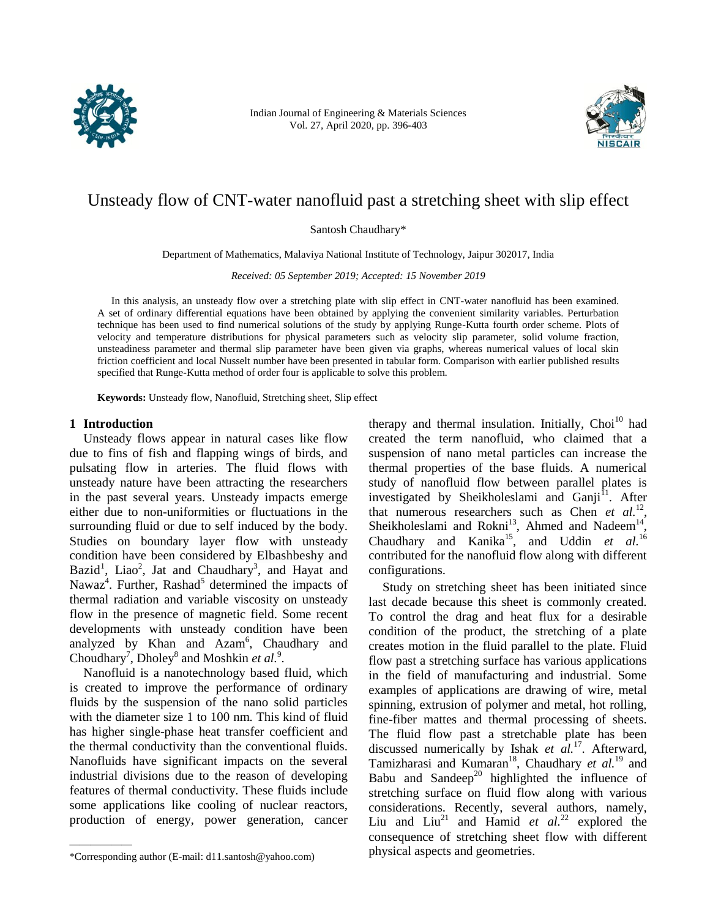

Indian Journal of Engineering & Materials Sciences Vol. 27, April 2020, pp. 396-403



# Unsteady flow of CNT-water nanofluid past a stretching sheet with slip effect

Santosh Chaudhary\*

Department of Mathematics, Malaviya National Institute of Technology, Jaipur 302017, India

*Received: 05 September 2019; Accepted: 15 November 2019*

In this analysis, an unsteady flow over a stretching plate with slip effect in CNT-water nanofluid has been examined. A set of ordinary differential equations have been obtained by applying the convenient similarity variables. Perturbation technique has been used to find numerical solutions of the study by applying Runge-Kutta fourth order scheme. Plots of velocity and temperature distributions for physical parameters such as velocity slip parameter, solid volume fraction, unsteadiness parameter and thermal slip parameter have been given via graphs, whereas numerical values of local skin friction coefficient and local Nusselt number have been presented in tabular form. Comparison with earlier published results specified that Runge-Kutta method of order four is applicable to solve this problem.

**Keywords:** Unsteady flow, Nanofluid, Stretching sheet, Slip effect

# **1 Introduction**

Unsteady flows appear in natural cases like flow due to fins of fish and flapping wings of birds, and pulsating flow in arteries. The fluid flows with unsteady nature have been attracting the researchers in the past several years. Unsteady impacts emerge either due to non-uniformities or fluctuations in the surrounding fluid or due to self induced by the body. Studies on boundary layer flow with unsteady condition have been considered by Elbashbeshy and Bazid<sup>1</sup>, Liao<sup>2</sup>, Jat and Chaudhary<sup>3</sup>, and Hayat and Nawaz<sup>4</sup>. Further, Rashad<sup>5</sup> determined the impacts of thermal radiation and variable viscosity on unsteady flow in the presence of magnetic field. Some recent developments with unsteady condition have been analyzed by Khan and Azam<sup>6</sup>, Chaudhary and Choudhary<sup>7</sup>, Dholey<sup>8</sup> and Moshkin *et al.*<sup>9</sup>.

Nanofluid is a nanotechnology based fluid, which is created to improve the performance of ordinary fluids by the suspension of the nano solid particles with the diameter size 1 to 100 nm. This kind of fluid has higher single-phase heat transfer coefficient and the thermal conductivity than the conventional fluids. Nanofluids have significant impacts on the several industrial divisions due to the reason of developing features of thermal conductivity. These fluids include some applications like cooling of nuclear reactors, production of energy, power generation, cancer

therapy and thermal insulation. Initially,  $Choi<sup>10</sup>$  had created the term nanofluid, who claimed that a suspension of nano metal particles can increase the thermal properties of the base fluids. A numerical study of nanofluid flow between parallel plates is investigated by Sheikholeslami and Ganji<sup>11</sup>. After that numerous researchers such as Chen  $et$   $al$ <sup>12</sup>, Sheikholeslami and Rokni<sup>13</sup>, Ahmed and Nadeem<sup>14</sup>, Chaudhary and Kanika<sup>15</sup>, and Uddin *et al.*<sup>16</sup> contributed for the nanofluid flow along with different configurations.

Study on stretching sheet has been initiated since last decade because this sheet is commonly created. To control the drag and heat flux for a desirable condition of the product, the stretching of a plate creates motion in the fluid parallel to the plate. Fluid flow past a stretching surface has various applications in the field of manufacturing and industrial. Some examples of applications are drawing of wire, metal spinning, extrusion of polymer and metal, hot rolling, fine-fiber mattes and thermal processing of sheets. The fluid flow past a stretchable plate has been discussed numerically by Ishak *et al.*<sup>17</sup>. Afterward, Tamizharasi and Kumaran<sup>18</sup>, Chaudhary *et al.*<sup>19</sup> and Babu and Sandeep<sup>20</sup> highlighted the influence of stretching surface on fluid flow along with various considerations. Recently, several authors, namely, Liu and Liu<sup>21</sup> and Hamid *et al.*<sup>22</sup> explored the consequence of stretching sheet flow with different physical aspects and geometries.

<sup>\*</sup>Corresponding author (E-mail: d11.santosh@yahoo.com)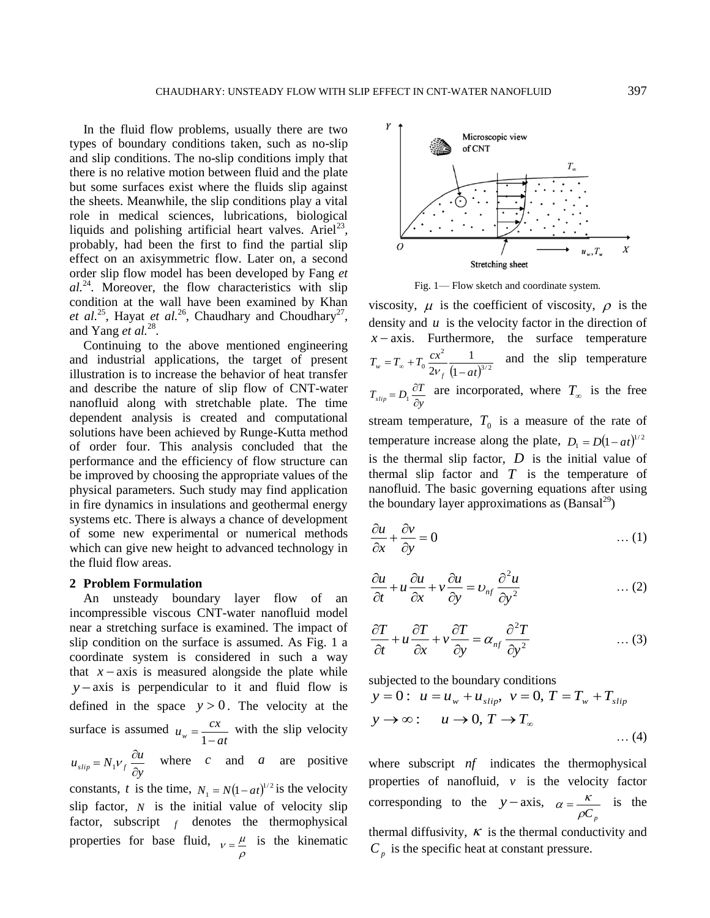In the fluid flow problems, usually there are two types of boundary conditions taken, such as no-slip and slip conditions. The no-slip conditions imply that there is no relative motion between fluid and the plate but some surfaces exist where the fluids slip against the sheets. Meanwhile, the slip conditions play a vital role in medical sciences, lubrications, biological liquids and polishing artificial heart valves. Ariel<sup>23</sup>, probably, had been the first to find the partial slip effect on an axisymmetric flow. Later on, a second order slip flow model has been developed by Fang *et al.*<sup>24</sup>. Moreover, the flow characteristics with slip condition at the wall have been examined by Khan et al.<sup>25</sup>, Hayat et al.<sup>26</sup>, Chaudhary and Choudhary<sup>27</sup>, and Yang *et al.*<sup>28</sup>.

Continuing to the above mentioned engineering and industrial applications, the target of present illustration is to increase the behavior of heat transfer and describe the nature of slip flow of CNT-water nanofluid along with stretchable plate. The time dependent analysis is created and computational solutions have been achieved by Runge-Kutta method of order four. This analysis concluded that the performance and the efficiency of flow structure can be improved by choosing the appropriate values of the physical parameters. Such study may find application in fire dynamics in insulations and geothermal energy systems etc. There is always a chance of development of some new experimental or numerical methods which can give new height to advanced technology in the fluid flow areas.

#### **2 Problem Formulation**

An unsteady boundary layer flow of an incompressible viscous CNT-water nanofluid model near a stretching surface is examined. The impact of slip condition on the surface is assumed. As Fig. 1 a coordinate system is considered in such a way that  $x - axis$  is measured alongside the plate while  $y - axis$  is perpendicular to it and fluid flow is defined in the space  $y > 0$ . The velocity at the surface is assumed *at*  $u_w = \frac{cx}{1 - a}$  $=$ 1 with the slip velocity *y*  $u_{slip} = N_1 v_f \frac{\partial u}{\partial y}$  $=N_1 V_f \frac{\partial u}{\partial x}$  where c and a are positive constants, t is the time,  $N_1 = N(1 - at)^{1/2}$  is the velocity slip factor,  $N$  is the initial value of velocity slip factor, subscript  $f$  denotes the thermophysical properties for base fluid,  $v = \frac{\mu}{\epsilon}$  is the kinematic

 $\rho$ 



Fig. 1— Flow sketch and coordinate system.

viscosity,  $\mu$  is the coefficient of viscosity,  $\rho$  is the density and  $u$  is the velocity factor in the direction of  $x - axis$ . Furthermore, the surface temperature  $(1 - at)^{3/2}$ 2  $\frac{1}{2v_{f}}$   $\frac{1}{1}$ 1  $2v_{f}$  (1 – at  $T_w = T_w + T_0 \frac{cx^2}{2}$  $w = \mathbf{1}_{\infty} + \mathbf{1}_0 \overline{2v_f}$   $\overline{1 - \mathbf{1}_0}$  $=T_{\infty}+T_0\frac{dx}{2V}$ and the slip temperature *y*  $T_{slip} = D_1 \frac{\partial T}{\partial y}$  $I = D_1 \frac{\partial T}{\partial \theta}$  are incorporated, where  $T_{\infty}$  is the free stream temperature,  $T_0$  is a measure of the rate of temperature increase along the plate,  $D_1 = D(1 - at)^{1/2}$ is the thermal slip factor,  $D$  is the initial value of thermal slip factor and  $T$  is the temperature of nanofluid. The basic governing equations after using the boundary layer approximations as  $(Bansal<sup>29</sup>)$ 

$$
\frac{\partial u}{\partial x} + \frac{\partial v}{\partial y} = 0 \tag{1}
$$

$$
\frac{\partial u}{\partial t} + u \frac{\partial u}{\partial x} + v \frac{\partial u}{\partial y} = v_{nf} \frac{\partial^2 u}{\partial y^2} \qquad \qquad \dots (2)
$$

$$
\frac{\partial T}{\partial t} + u \frac{\partial T}{\partial x} + v \frac{\partial T}{\partial y} = \alpha_{nf} \frac{\partial^2 T}{\partial y^2} \qquad \qquad \dots (3)
$$

subjected to the boundary conditions

$$
y = 0: u = u_w + u_{slip}, v = 0, T = T_w + T_{slip}
$$
  

$$
y \rightarrow \infty: u \rightarrow 0, T \rightarrow T_{\infty}
$$
...(4)

where subscript *nf* indicates the thermophysical properties of nanofluid,  $v$  is the velocity factor corresponding to the  $y - axis$ ,  $\rho C_p^+$  $\alpha = \frac{\kappa}{\epsilon}$  is the thermal diffusivity,  $\kappa$  is the thermal conductivity and  $C_p$  is the specific heat at constant pressure.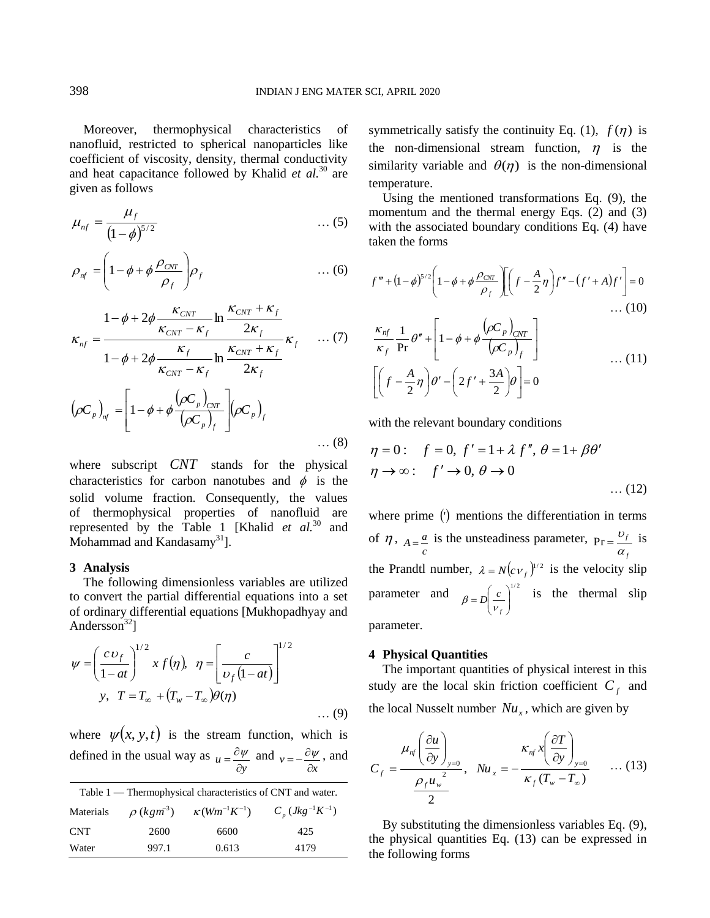Moreover, thermophysical characteristics of nanofluid, restricted to spherical nanoparticles like coefficient of viscosity, density, thermal conductivity and heat capacitance followed by Khalid *et al.*<sup>30</sup> are given as follows

$$
\mu_{nf} = \frac{\mu_f}{\left(1-\phi\right)^{5/2}} \qquad \qquad \dots (5)
$$

$$
\rho_{nf} = \left(1 - \phi + \phi \frac{\rho_{CNT}}{\rho_f}\right) \rho_f \qquad \qquad \dots (6)
$$

$$
\kappa_{nf} = \frac{1 - \phi + 2\phi \frac{\kappa_{CNT}}{\kappa_{CNT} - \kappa_f} \ln \frac{\kappa_{CNT} + \kappa_f}{2\kappa_f}}{1 - \phi + 2\phi \frac{\kappa_f}{\kappa_{CNT} - \kappa_f} \ln \frac{\kappa_{CNT} + \kappa_f}{2\kappa_f}} \kappa_f \qquad ... (7)
$$

$$
(\rho C_p)_{nf} = \left[1 - \phi + \phi \frac{(\rho C_p)_{CNT}}{(\rho C_p)_f}\right] (\rho C_p)_f
$$

where subscript *CNT* stands for the physical characteristics for carbon nanotubes and  $\phi$  is the solid volume fraction. Consequently, the values of thermophysical properties of nanofluid are represented by the Table 1 [Khalid *et al.*<sup>30</sup> and Mohammad and Kandasamy $31$ .

## **3 Analysis**

The following dimensionless variables are utilized to convert the partial differential equations into a set of ordinary differential equations [Mukhopadhyay and Andersson $^{32}$ ]

$$
\psi = \left(\frac{c v_f}{1 - at}\right)^{1/2} x f(\eta), \quad \eta = \left[\frac{c}{v_f(1 - at)}\right]^{1/2}
$$
  

$$
y, \quad T = T_{\infty} + \left(T_w - T_{\infty}\right) \theta(\eta)
$$
...(9)

where  $\psi(x, y, t)$  is the stream function, which is defined in the usual way as  $u = \frac{\partial \varphi}{\partial y}$  $=\frac{\partial \psi}{\partial x}$  and  $v = -\frac{\partial \varphi}{\partial x}$  $=-\frac{\partial \psi}{\partial x}$ , and

| Table 1 — Thermophysical characteristics of CNT and water. |                            |                         |                        |  |  |  |
|------------------------------------------------------------|----------------------------|-------------------------|------------------------|--|--|--|
| Materials                                                  | $\rho$ (kgm <sup>3</sup> ) | $\kappa(Wm^{-1}K^{-1})$ | $C_n (Jkg^{-1}K^{-1})$ |  |  |  |
| <b>CNT</b>                                                 | 2600                       | 6600                    | 425                    |  |  |  |
| Water                                                      | 997.1                      | 0.613                   | 4179                   |  |  |  |

symmetrically satisfy the continuity Eq. (1),  $f(\eta)$  is the non-dimensional stream function,  $\eta$  is the similarity variable and  $\theta(\eta)$  is the non-dimensional temperature.

Using the mentioned transformations Eq. (9), the momentum and the thermal energy Eqs. (2) and (3) with the associated boundary conditions Eq. (4) have taken the forms

$$
f''' + (1 - \phi)^{5/2} \left(1 - \phi + \phi \frac{\rho_{\text{CNT}}}{\rho_f}\right) \left[ \left(f - \frac{A}{2}\eta\right) f'' - \left(f' + A\right) f' \right] = 0
$$
  
... (10)

$$
\frac{\kappa_{nf}}{\kappa_f} \frac{1}{\text{Pr}} \theta'' + \left[ 1 - \phi + \phi \frac{(\rho C_p)_{CNT}}{(\rho C_p)_f} \right]
$$
\n
$$
\left[ \left( f - \frac{A}{2} \eta \right) \theta' - \left( 2f' + \frac{3A}{2} \right) \theta \right] = 0 \tag{11}
$$

with the relevant boundary conditions

$$
\eta = 0: \quad f = 0, \ f' = 1 + \lambda \ f'', \ \theta = 1 + \beta \theta'
$$
  

$$
\eta \to \infty: \quad f' \to 0, \ \theta \to 0
$$
  
... (12)

where prime () mentions the differentiation in terms of  $\eta$ ,  $A = \frac{a}{c}$  is the unsteadiness parameter, *f f* α  $Pr = \frac{v_f}{r}$  is the Prandtl number,  $\lambda = N(c v_f)^{1/2}$  is the velocity slip parameter and  $\int_{R} e^{-\int_{0}^{1/2}}$  $\overline{\phantom{a}}$ J J,  $\overline{\phantom{a}}$ L  $= D \left( \begin{array}{c} 1 & 0 \\ 0 & 1 \end{array} \right)$ *f*  $\beta = D \left( \frac{c}{V_c} \right)^{1/2}$  is the thermal slip parameter.

#### **4 Physical Quantities**

The important quantities of physical interest in this study are the local skin friction coefficient  $C_f$  and the local Nusselt number  $Nu_x$ , which are given by

$$
C_f = \frac{\mu_{nf} \left(\frac{\partial u}{\partial y}\right)_{y=0}}{\frac{\rho_f u_w^2}{2}}, \quad Nu_x = -\frac{\kappa_{nf} x \left(\frac{\partial T}{\partial y}\right)_{y=0}}{\kappa_f (T_w - T_\infty)} \qquad \dots (13)
$$

By substituting the dimensionless variables Eq. (9), the physical quantities Eq. (13) can be expressed in the following forms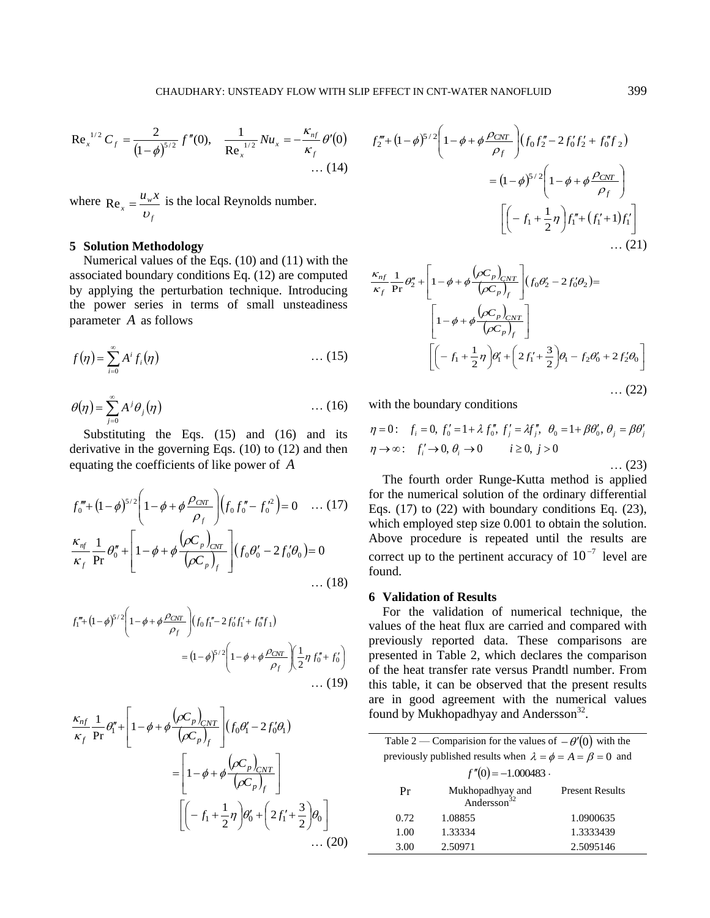Re<sub>x</sub><sup>1/2</sup> 
$$
C_f = \frac{2}{(1-\phi)^{5/2}} f''(0), \quad \frac{1}{\text{Re}_x^{1/2}} Nu_x = -\frac{\kappa_{nf}}{\kappa_f} \theta'(0)
$$
  
... (14)

where *f*  $u_x = \frac{u_y}{u_y}$  $u_{w}$ *x*  $Re_x = \frac{u_y \lambda}{v_x}$  is the local Reynolds number.

# **5 Solution Methodology**

Numerical values of the Eqs. (10) and (11) with the associated boundary conditions Eq. (12) are computed by applying the perturbation technique. Introducing the power series in terms of small unsteadiness parameter *A* as follows

$$
f(\eta) = \sum_{i=0}^{\infty} A^i f_i(\eta) \tag{15}
$$

$$
\theta(\eta) = \sum_{j=0}^{\infty} A^j \theta_j(\eta) \tag{16}
$$

Substituting the Eqs. (15) and (16) and its derivative in the governing Eqs. (10) to (12) and then equating the coefficients of like power of *A*

$$
f_0''' + (1 - \phi)^{5/2} \left( 1 - \phi + \phi \frac{\rho_{\text{CNT}}}{\rho_f} \right) \left( f_0 f_0'' - f_0'^2 \right) = 0 \quad \dots (17)
$$
  

$$
\frac{\kappa_{\text{nf}}}{\kappa_f} \frac{1}{\text{Pr}} \theta_0'' + \left[ 1 - \phi + \phi \frac{\left( \rho C_p \right)_{\text{CNT}}}{\left( \rho C_p \right)_f} \right] \left( f_0 \theta_0' - 2 f_0' \theta_0 \right) = 0
$$
  

$$
\dots (18)
$$

$$
f_1''' + (1 - \phi)^{5/2} \left( 1 - \phi + \phi \frac{\rho_{CNT}}{\rho_f} \right) (f_0 f_1'' - 2 f_0' f_1' + f_0'' f_1)
$$
  
=  $(1 - \phi)^{5/2} \left( 1 - \phi + \phi \frac{\rho_{CNT}}{\rho_f} \right) \left( \frac{1}{2} \eta f_0'' + f_0' \right)$ ... (19)

$$
\frac{\kappa_{nf}}{\kappa_f} \frac{1}{\Pr} \theta_1'' + \left[ 1 - \phi + \phi \frac{(\rho C_p)_{CNT}}{(\rho C_p)_f} \right] (f_0 \theta_1' - 2f_0' \theta_1)
$$

$$
= \left[ 1 - \phi + \phi \frac{(\rho C_p)_{CNT}}{(\rho C_p)_f} \right]
$$

$$
\left[ \left( -f_1 + \frac{1}{2} \eta \right) \theta_0' + \left( 2f_1' + \frac{3}{2} \right) \theta_0 \right]
$$
... (20)

$$
\frac{af}{f} \theta'(0) \qquad f_2^m + (1-\phi)^{5/2} \left(1-\phi + \phi \frac{\rho_{CNT}}{\rho_f}\right) (f_0 f_2^m - 2 f_0^r f_2^r + f_0^r f_2)
$$
\n... (14)  
\n=  $(1-\phi)^{5/2} \left(1-\phi + \phi \frac{\rho_{CNT}}{\rho_f}\right)$   
\n $\left[\left(-f_1 + \frac{1}{2}\eta\right) f_1^r + (f_1^r + 1) f_1^r\right]$   
\nwith the  
\nmutated  
\nducing  
\nducing  
\n $\frac{\kappa_{nf}}{\kappa_f} \frac{1}{\kappa_f} \rho_2^r + \left[1-\phi + \phi \frac{(\rho C_p)_{CNT}}{(\rho C_p)_f}\right] (f_0 \theta_2^r - 2 f_0^r \theta_2) =$   
\nandiness  
\n $\left[1-\phi + \phi \frac{(\rho C_p)_{CNT}}{(\rho C_p)_f}\right]$   
\n... (15)  
\n $\left[-f_1 + \frac{1}{2}\eta\right) \theta_1^r + \left[2f_1^r + \frac{3}{2}\right] \theta_1 - f_2 \theta_0^r + 2f_2^r \theta_0\right]$   
\n... (22)  
\n... (16)  
\nwith the boundary conditions  
\n $\eta = 0$ :  $f_i = 0$ ,  $f'_0 = 1 + \lambda f''_0$ ,  $f'_j = \lambda f''_j$ ,  $\theta_0 = 1 + \beta \theta'_0$ ,  $\theta_j = \beta \theta'_j$   
\nand then  $\eta \rightarrow \infty$ :  $f'_i \rightarrow 0$ ,  $\theta_i \rightarrow 0$   $i \ge 0$ ,  $j > 0$   
\n... (23)  
\nThe fourth order Runge-Kutta method is applied  
\nfor the numerical solution of the ordinary differential  
\n $\left.\frac{(17)}{\text{for the numberical solution of the ordinary differential}$   
\n=0  
\nand.  
\n $\left.\frac{(18)}{\text{the three lower level of the original time solution}$   
\n=0  
\n $\left.\frac{(18)}{\text{the three lower level of the number accuracy of } 10^{-7} \text{ level are found.\n6 Validation of Results\nFor the validation of numerical technique$ 

$$
\frac{\kappa_{nf}}{\kappa_f} \frac{1}{\Pr} \theta_2'' + \left[ 1 - \phi + \phi \frac{(\rho C_p)_{CNT}}{(\rho C_p)_f} \right] (f_0 \theta_2' - 2f_0' \theta_2) =
$$
\n
$$
\left[ 1 - \phi + \phi \frac{(\rho C_p)_{CNT}}{(\rho C_p)_f} \right]
$$
\n
$$
\left[ \left( -f_1 + \frac{1}{2} \eta \right) \theta_1' + \left( 2f_1' + \frac{3}{2} \right) \theta_1 - f_2 \theta_0' + 2f_2' \theta_0 \right]
$$
\n... (22)

with the boundary conditions

$$
\eta = 0: \quad f_i = 0, \ f'_0 = 1 + \lambda \, f''_0, \ f'_j = \lambda f''_j, \ \theta_0 = 1 + \beta \theta'_0, \ \theta_j = \beta \theta'_j
$$
\n
$$
\eta \to \infty: \quad f'_i \to 0, \ \theta_i \to 0 \qquad i \ge 0, \ j > 0 \qquad \dots \tag{23}
$$

The fourth order Runge-Kutta method is applied for the numerical solution of the ordinary differential Eqs. (17) to (22) with boundary conditions Eq. (23), which employed step size 0.001 to obtain the solution. Above procedure is repeated until the results are correct up to the pertinent accuracy of  $10^{-7}$  level are found.

## **6 Validation of Results**

For the validation of numerical technique, the values of the heat flux are carried and compared with previously reported data. These comparisons are presented in Table 2, which declares the comparison of the heat transfer rate versus Prandtl number. From this table, it can be observed that the present results are in good agreement with the numerical values found by Mukhopadhyay and Andersson<sup>32</sup>.

| Table 2 — Comparision for the values of $-\theta'(0)$ with the         |                                             |                        |  |  |  |  |
|------------------------------------------------------------------------|---------------------------------------------|------------------------|--|--|--|--|
| previously published results when $\lambda = \phi = A = \beta = 0$ and |                                             |                        |  |  |  |  |
| $f''(0) = -1.000483$ .                                                 |                                             |                        |  |  |  |  |
| Pr                                                                     | Mukhopadhyay and<br>Andersson <sup>32</sup> | <b>Present Results</b> |  |  |  |  |
| 0.72                                                                   | 1.08855                                     | 1.0900635              |  |  |  |  |
| 1.00                                                                   | 1.33334                                     | 1.3333439              |  |  |  |  |
| 3.00                                                                   | 2.50971                                     | 2.5095146              |  |  |  |  |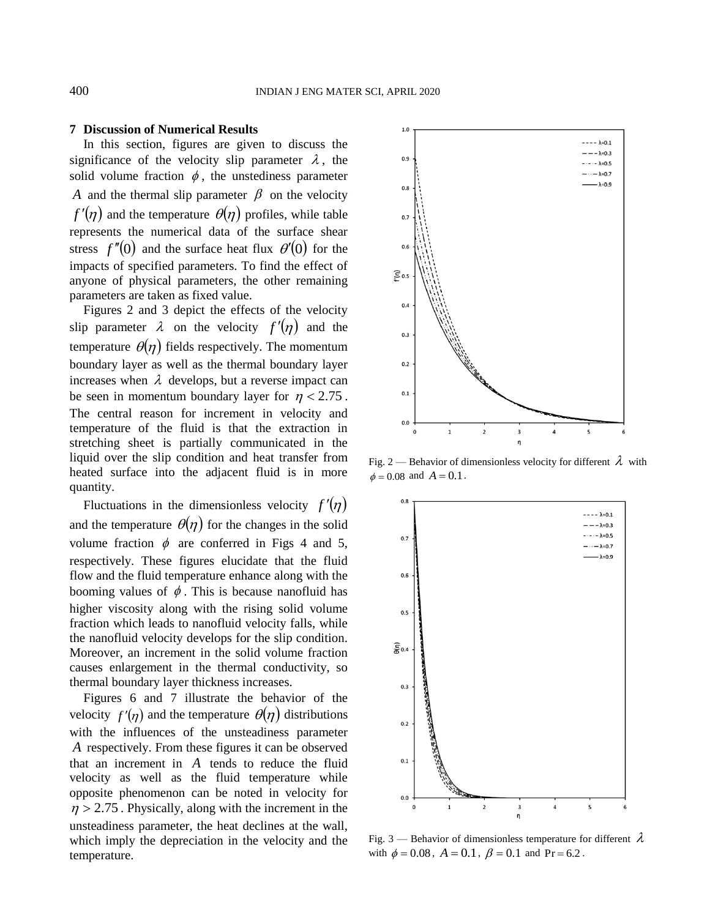# **7 Discussion of Numerical Results**

In this section, figures are given to discuss the significance of the velocity slip parameter  $\lambda$ , the solid volume fraction  $\phi$ , the unstediness parameter *A* and the thermal slip parameter  $\beta$  on the velocity  $f'(\eta)$  and the temperature  $\theta(\eta)$  profiles, while table represents the numerical data of the surface shear stress  $f''(0)$  and the surface heat flux  $\theta'(0)$  for the impacts of specified parameters. To find the effect of anyone of physical parameters, the other remaining parameters are taken as fixed value.

Figures 2 and 3 depict the effects of the velocity slip parameter  $\lambda$  on the velocity  $f'(\eta)$  and the temperature  $\theta(\eta)$  fields respectively. The momentum boundary layer as well as the thermal boundary layer increases when  $\lambda$  develops, but a reverse impact can be seen in momentum boundary layer for  $\eta$  < 2.75. The central reason for increment in velocity and temperature of the fluid is that the extraction in stretching sheet is partially communicated in the liquid over the slip condition and heat transfer from heated surface into the adjacent fluid is in more quantity.

Fluctuations in the dimensionless velocity  $f'(\eta)$ and the temperature  $\theta(\eta)$  for the changes in the solid volume fraction  $\phi$  are conferred in Figs 4 and 5, respectively. These figures elucidate that the fluid flow and the fluid temperature enhance along with the booming values of  $\phi$ . This is because nanofluid has higher viscosity along with the rising solid volume fraction which leads to nanofluid velocity falls, while the nanofluid velocity develops for the slip condition. Moreover, an increment in the solid volume fraction causes enlargement in the thermal conductivity, so thermal boundary layer thickness increases.

Figures 6 and 7 illustrate the behavior of the velocity  $f'(\eta)$  and the temperature  $\theta(\eta)$  distributions with the influences of the unsteadiness parameter *A* respectively. From these figures it can be observed that an increment in *A* tends to reduce the fluid velocity as well as the fluid temperature while opposite phenomenon can be noted in velocity for  $\eta$  > 2.75. Physically, along with the increment in the unsteadiness parameter, the heat declines at the wall, which imply the depreciation in the velocity and the temperature.



Fig. 2 — Behavior of dimensionless velocity for different  $\lambda$  with  $\phi = 0.08$  and  $A = 0.1$ .



Fig. 3 — Behavior of dimensionless temperature for different  $\lambda$ with  $\phi = 0.08$ ,  $A = 0.1$ ,  $\beta = 0.1$  and Pr = 6.2.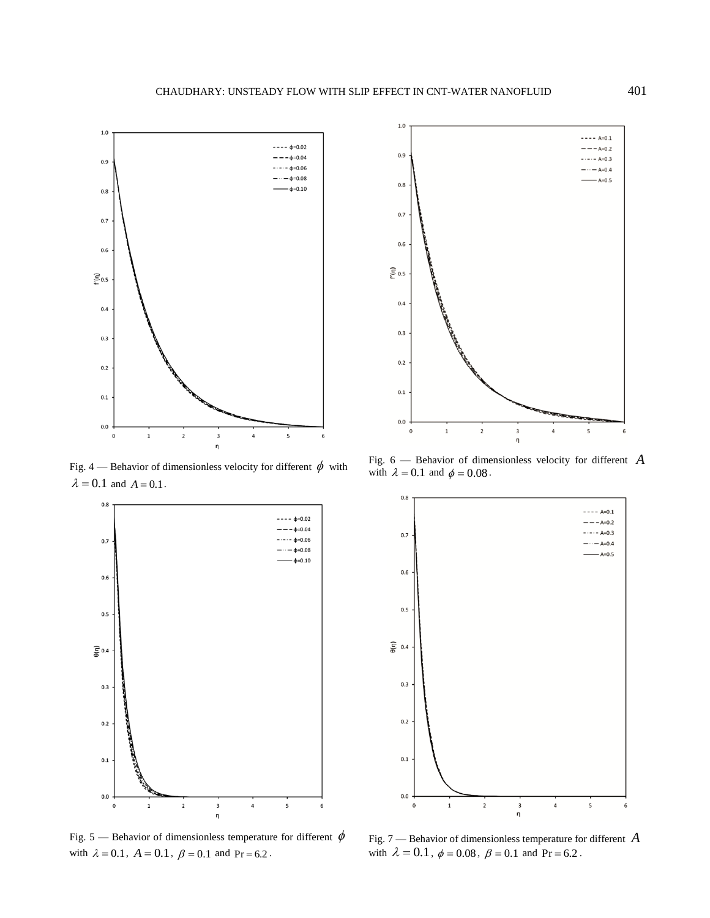

Fig. 4 — Behavior of dimensionless velocity for different  $\phi$  with  $\lambda = 0.1$  and  $A = 0.1$ .



Fig. 5 — Behavior of dimensionless temperature for different  $\phi$ with  $\lambda = 0.1$ ,  $A = 0.1$ ,  $\beta = 0.1$  and Pr = 6.2.



Fig. 6 — Behavior of dimensionless velocity for different *A* with  $\lambda = 0.1$  and  $\phi = 0.08$ .



Fig. 7 — Behavior of dimensionless temperature for different *A* with  $\lambda = 0.1$ ,  $\phi = 0.08$ ,  $\beta = 0.1$  and Pr = 6.2.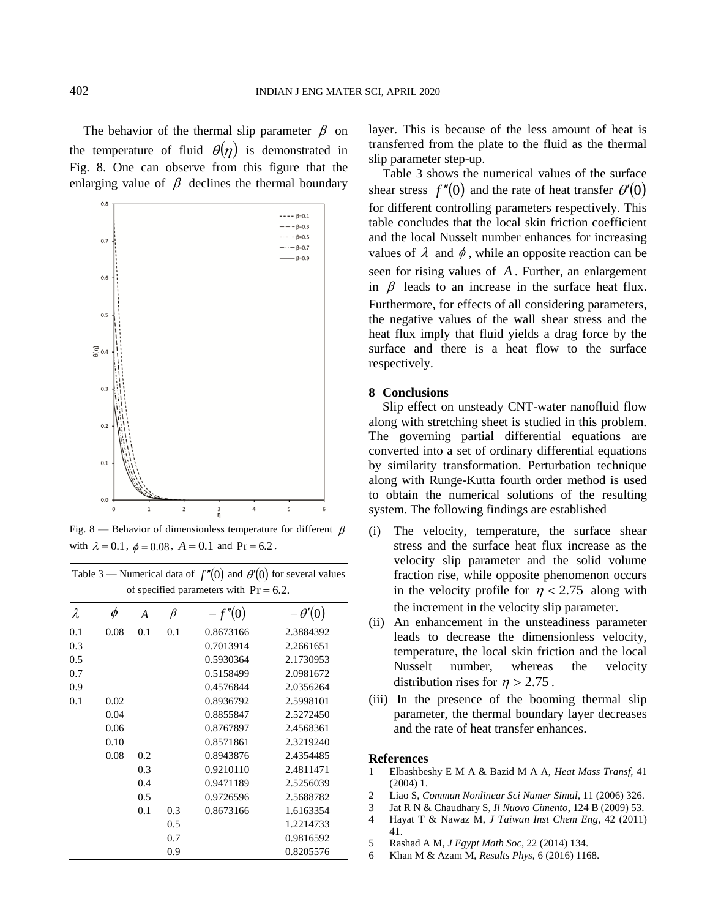The behavior of the thermal slip parameter  $\beta$  on the temperature of fluid  $\theta(\eta)$  is demonstrated in Fig. 8. One can observe from this figure that the enlarging value of  $\beta$  declines the thermal boundary



Fig. 8 — Behavior of dimensionless temperature for different  $\beta$ with  $\lambda = 0.1$ ,  $\phi = 0.08$ ,  $A = 0.1$  and  $Pr = 6.2$ .

| Table 3 — Numerical data of $f''(0)$ and $\theta'(0)$ for several values |  |
|--------------------------------------------------------------------------|--|
| of specified parameters with $Pr = 6.2$ .                                |  |

| λ   | $\phi$ | A   | $\beta$ | $-f''(0)$ | $-\theta'(0)$ |
|-----|--------|-----|---------|-----------|---------------|
| 0.1 | 0.08   | 0.1 | 0.1     | 0.8673166 | 2.3884392     |
| 0.3 |        |     |         | 0.7013914 | 2.2661651     |
| 0.5 |        |     |         | 0.5930364 | 2.1730953     |
| 0.7 |        |     |         | 0.5158499 | 2.0981672     |
| 0.9 |        |     |         | 0.4576844 | 2.0356264     |
| 0.1 | 0.02   |     |         | 0.8936792 | 2.5998101     |
|     | 0.04   |     |         | 0.8855847 | 2.5272450     |
|     | 0.06   |     |         | 0.8767897 | 2.4568361     |
|     | 0.10   |     |         | 0.8571861 | 2.3219240     |
|     | 0.08   | 0.2 |         | 0.8943876 | 2.4354485     |
|     |        | 0.3 |         | 0.9210110 | 2.4811471     |
|     |        | 0.4 |         | 0.9471189 | 2.5256039     |
|     |        | 0.5 |         | 0.9726596 | 2.5688782     |
|     |        | 0.1 | 0.3     | 0.8673166 | 1.6163354     |
|     |        |     | 0.5     |           | 1.2214733     |
|     |        |     | 0.7     |           | 0.9816592     |
|     |        |     | 0.9     |           | 0.8205576     |

layer. This is because of the less amount of heat is transferred from the plate to the fluid as the thermal slip parameter step-up.

Table 3 shows the numerical values of the surface shear stress  $f''(0)$  and the rate of heat transfer  $\theta'(0)$ for different controlling parameters respectively. This table concludes that the local skin friction coefficient and the local Nusselt number enhances for increasing values of  $\lambda$  and  $\phi$ , while an opposite reaction can be seen for rising values of *A* . Further, an enlargement in  $\beta$  leads to an increase in the surface heat flux. Furthermore, for effects of all considering parameters, the negative values of the wall shear stress and the heat flux imply that fluid yields a drag force by the surface and there is a heat flow to the surface respectively.

## **8 Conclusions**

Slip effect on unsteady CNT-water nanofluid flow along with stretching sheet is studied in this problem. The governing partial differential equations are converted into a set of ordinary differential equations by similarity transformation. Perturbation technique along with Runge-Kutta fourth order method is used to obtain the numerical solutions of the resulting system. The following findings are established

- (i) The velocity, temperature, the surface shear stress and the surface heat flux increase as the velocity slip parameter and the solid volume fraction rise, while opposite phenomenon occurs in the velocity profile for  $\eta$  < 2.75 along with the increment in the velocity slip parameter.
- (ii) An enhancement in the unsteadiness parameter leads to decrease the dimensionless velocity, temperature, the local skin friction and the local Nusselt number, whereas the velocity distribution rises for  $\eta > 2.75$ .
- (iii) In the presence of the booming thermal slip parameter, the thermal boundary layer decreases and the rate of heat transfer enhances.

#### **References**

- 1 Elbashbeshy E M A & Bazid M A A, *Heat Mass Transf*, 41 (2004) 1.
- 2 Liao S, *Commun Nonlinear Sci Numer Simul*, 11 (2006) 326.
- 3 Jat R N & Chaudhary S, *Il Nuovo Cimento*, 124 B (2009) 53.
- 4 Hayat T & Nawaz M, *J Taiwan Inst Chem Eng*, 42 (2011) 41.
- 5 Rashad A M, *J Egypt Math Soc*, 22 (2014) 134.
- 6 Khan M & Azam M, *Results Phys*, 6 (2016) 1168.